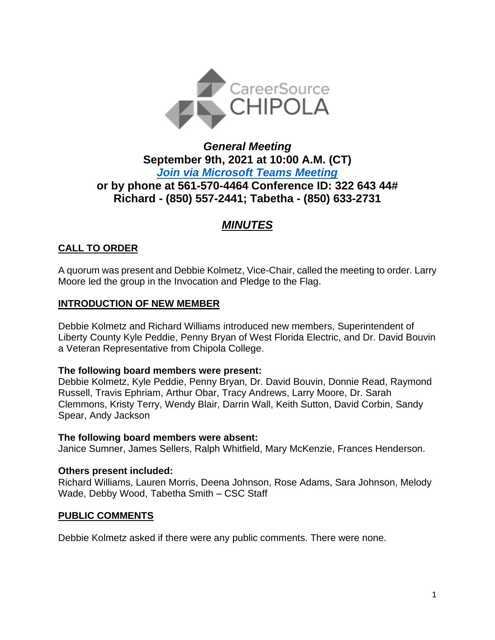

# *General Meeting* **September 9th, 2021 at 10:00 A.M. (CT)** *[Join via Microsoft Teams Meeting](https://teams.microsoft.com/l/meetup-join/19%3ameeting_NzQ1ZjBjYmUtMWNlMC00OTc1LTllMzktMDYwN2JmY2ZhMDQz%40thread.v2/0?context=%7b%22Tid%22%3a%22381e462d-382b-4f05-b17c-e11350250b4b%22%2c%22Oid%22%3a%22ece6f519-14be-447e-9926-70a0c0b015a7%22%7d)*  **or by phone at 561-570-4464 Conference ID: 322 643 44# Richard - (850) 557-2441; Tabetha - (850) 633-2731**

# *MINUTES*

# **CALL TO ORDER**

A quorum was present and Debbie Kolmetz, Vice-Chair, called the meeting to order. Larry Moore led the group in the Invocation and Pledge to the Flag.

# **INTRODUCTION OF NEW MEMBER**

Debbie Kolmetz and Richard Williams introduced new members, Superintendent of Liberty County Kyle Peddie, Penny Bryan of West Florida Electric, and Dr. David Bouvin a Veteran Representative from Chipola College.

# **The following board members were present:**

Debbie Kolmetz, Kyle Peddie, Penny Bryan, Dr. David Bouvin, Donnie Read, Raymond Russell, Travis Ephriam, Arthur Obar, Tracy Andrews, Larry Moore, Dr. Sarah Clemmons, Kristy Terry, Wendy Blair, Darrin Wall, Keith Sutton, David Corbin, Sandy Spear, Andy Jackson

# **The following board members were absent:**

Janice Sumner, James Sellers, Ralph Whitfield, Mary McKenzie, Frances Henderson.

# **Others present included:**

Richard Williams, Lauren Morris, Deena Johnson, Rose Adams, Sara Johnson, Melody Wade, Debby Wood, Tabetha Smith – CSC Staff

# **PUBLIC COMMENTS**

Debbie Kolmetz asked if there were any public comments. There were none.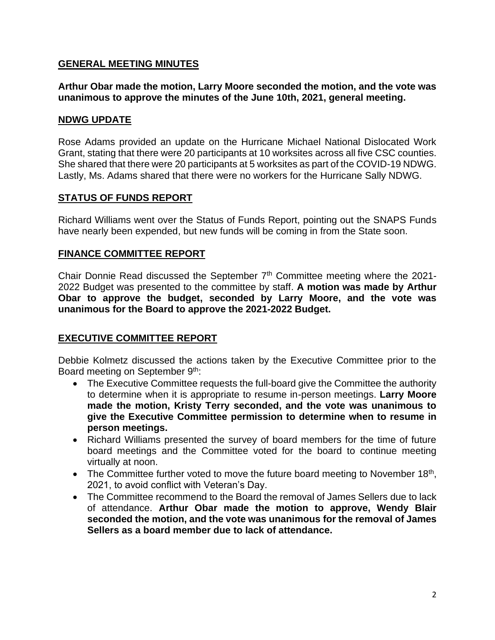### **GENERAL MEETING MINUTES**

**Arthur Obar made the motion, Larry Moore seconded the motion, and the vote was unanimous to approve the minutes of the June 10th, 2021, general meeting.**

#### **NDWG UPDATE**

Rose Adams provided an update on the Hurricane Michael National Dislocated Work Grant, stating that there were 20 participants at 10 worksites across all five CSC counties. She shared that there were 20 participants at 5 worksites as part of the COVID-19 NDWG. Lastly, Ms. Adams shared that there were no workers for the Hurricane Sally NDWG.

### **STATUS OF FUNDS REPORT**

Richard Williams went over the Status of Funds Report, pointing out the SNAPS Funds have nearly been expended, but new funds will be coming in from the State soon.

### **FINANCE COMMITTEE REPORT**

Chair Donnie Read discussed the September 7<sup>th</sup> Committee meeting where the 2021-2022 Budget was presented to the committee by staff. **A motion was made by Arthur Obar to approve the budget, seconded by Larry Moore, and the vote was unanimous for the Board to approve the 2021-2022 Budget.**

# **EXECUTIVE COMMITTEE REPORT**

Debbie Kolmetz discussed the actions taken by the Executive Committee prior to the Board meeting on September 9<sup>th</sup>:

- The Executive Committee requests the full-board give the Committee the authority to determine when it is appropriate to resume in-person meetings. **Larry Moore made the motion, Kristy Terry seconded, and the vote was unanimous to give the Executive Committee permission to determine when to resume in person meetings.**
- Richard Williams presented the survey of board members for the time of future board meetings and the Committee voted for the board to continue meeting virtually at noon.
- The Committee further voted to move the future board meeting to November 18<sup>th</sup>, 2021, to avoid conflict with Veteran's Day.
- The Committee recommend to the Board the removal of James Sellers due to lack of attendance. **Arthur Obar made the motion to approve, Wendy Blair seconded the motion, and the vote was unanimous for the removal of James Sellers as a board member due to lack of attendance.**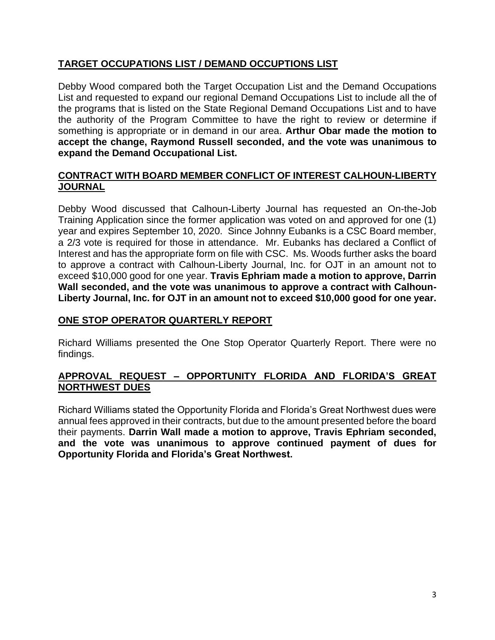# **TARGET OCCUPATIONS LIST / DEMAND OCCUPTIONS LIST**

Debby Wood compared both the Target Occupation List and the Demand Occupations List and requested to expand our regional Demand Occupations List to include all the of the programs that is listed on the State Regional Demand Occupations List and to have the authority of the Program Committee to have the right to review or determine if something is appropriate or in demand in our area. **Arthur Obar made the motion to accept the change, Raymond Russell seconded, and the vote was unanimous to expand the Demand Occupational List.**

### **CONTRACT WITH BOARD MEMBER CONFLICT OF INTEREST CALHOUN-LIBERTY JOURNAL**

Debby Wood discussed that Calhoun-Liberty Journal has requested an On-the-Job Training Application since the former application was voted on and approved for one (1) year and expires September 10, 2020. Since Johnny Eubanks is a CSC Board member, a 2/3 vote is required for those in attendance. Mr. Eubanks has declared a Conflict of Interest and has the appropriate form on file with CSC. Ms. Woods further asks the board to approve a contract with Calhoun-Liberty Journal, Inc. for OJT in an amount not to exceed \$10,000 good for one year. **Travis Ephriam made a motion to approve, Darrin Wall seconded, and the vote was unanimous to approve a contract with Calhoun-Liberty Journal, Inc. for OJT in an amount not to exceed \$10,000 good for one year.**

# **ONE STOP OPERATOR QUARTERLY REPORT**

Richard Williams presented the One Stop Operator Quarterly Report. There were no findings.

# **APPROVAL REQUEST – OPPORTUNITY FLORIDA AND FLORIDA'S GREAT NORTHWEST DUES**

Richard Williams stated the Opportunity Florida and Florida's Great Northwest dues were annual fees approved in their contracts, but due to the amount presented before the board their payments. **Darrin Wall made a motion to approve, Travis Ephriam seconded, and the vote was unanimous to approve continued payment of dues for Opportunity Florida and Florida's Great Northwest.**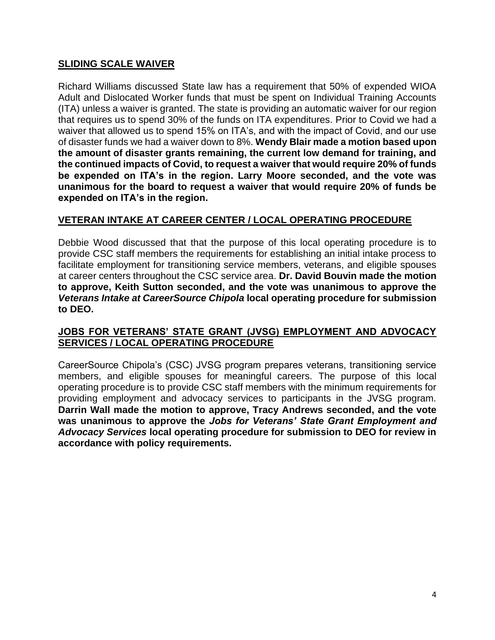### **SLIDING SCALE WAIVER**

Richard Williams discussed State law has a requirement that 50% of expended WIOA Adult and Dislocated Worker funds that must be spent on Individual Training Accounts (ITA) unless a waiver is granted. The state is providing an automatic waiver for our region that requires us to spend 30% of the funds on ITA expenditures. Prior to Covid we had a waiver that allowed us to spend 15% on ITA's, and with the impact of Covid, and our use of disaster funds we had a waiver down to 8%. **Wendy Blair made a motion based upon the amount of disaster grants remaining, the current low demand for training, and the continued impacts of Covid, to request a waiver that would require 20% of funds be expended on ITA's in the region. Larry Moore seconded, and the vote was unanimous for the board to request a waiver that would require 20% of funds be expended on ITA's in the region.**

### **VETERAN INTAKE AT CAREER CENTER / LOCAL OPERATING PROCEDURE**

Debbie Wood discussed that that the purpose of this local operating procedure is to provide CSC staff members the requirements for establishing an initial intake process to facilitate employment for transitioning service members, veterans, and eligible spouses at career centers throughout the CSC service area. **Dr. David Bouvin made the motion to approve, Keith Sutton seconded, and the vote was unanimous to approve the**  *Veterans Intake at CareerSource Chipola* **local operating procedure for submission to DEO.**

#### **JOBS FOR VETERANS' STATE GRANT (JVSG) EMPLOYMENT AND ADVOCACY SERVICES / LOCAL OPERATING PROCEDURE**

CareerSource Chipola's (CSC) JVSG program prepares veterans, transitioning service members, and eligible spouses for meaningful careers. The purpose of this local operating procedure is to provide CSC staff members with the minimum requirements for providing employment and advocacy services to participants in the JVSG program. **Darrin Wall made the motion to approve, Tracy Andrews seconded, and the vote was unanimous to approve the** *Jobs for Veterans' State Grant Employment and Advocacy Services* **local operating procedure for submission to DEO for review in accordance with policy requirements.**